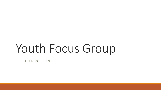# Youth Focus Group

OCTOBER 28, 2020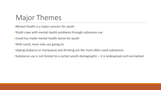# Major Themes

•Mental Health is a major concern for youth

- •Youth cope with mental health problems through substance use
- •Covid has made mental health worse for youth
- •With covid, more solo-use going on
- •Vaping (tobacco or marijuana) and drinking are the most often used substances
- •Substance use is not limited to a certain youth demographic it is widespread and normalized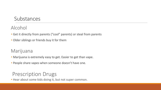### Substances

Alcohol

- Get it directly from parents ("cool" parents) or steal from parents
- Older siblings or friends buy it for them

Marijuana

- Marijuana is extremely easy to get. Easier to get than vape.
- People share vapes when someone doesn't have one.

## Prescription Drugs

• Hear about some kids doing it, but not super common.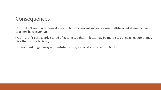#### **Consequences**

- Youth don't see much being done at school to prevent substance use. Half-hearted attempts; feel teachers have given up
- Youth aren't particularly scared of getting caught. Athletes may be more so, but coaches sometimes give them more leniency.
- It's not hard to get away with substance use, especially outside of school.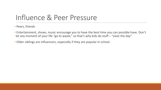## Influence & Peer Pressure

• Peers, friends

- Entertainment, shows, music encourage you to have the best time you can possible have. Don't let any moment of your life "go to waste," so that's why kids do stuff – "sieze the day"
- Older siblings are influencers, especially if they are popular in school.